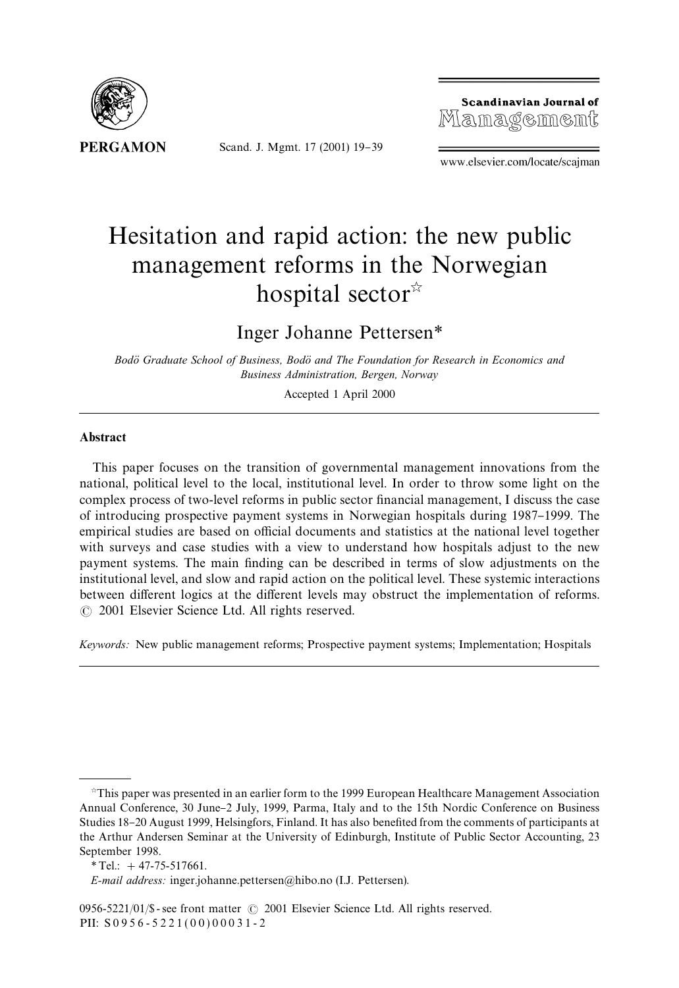

Scand. J. Mgmt. 17 (2001) 19-39

Scandinavian Journal of Management

www.elsevier.com/locate/scajman

# Hesitation and rapid action: the new public management reforms in the Norwegian hospital sector $\mathbb{R}$

### Inger Johanne Pettersen*\**

*Bodo*( *Graduate School of Business, Bodo*( *and The Foundation for Research in Economics and Business Administration, Bergen, Norway*

Accepted 1 April 2000

#### Abstract

This paper focuses on the transition of governmental management innovations from the national, political level to the local, institutional level. In order to throw some light on the complex process of two-level reforms in public sector financial management, I discuss the case of introducing prospective payment systems in Norwegian hospitals during 1987–1999. The empirical studies are based on official documents and statistics at the national level together with surveys and case studies with a view to understand how hospitals adjust to the new payment systems. The main finding can be described in terms of slow adjustments on the institutional level, and slow and rapid action on the political level. These systemic interactions between different logics at the different levels may obstruct the implementation of reforms. ( 2001 Elsevier Science Ltd. All rights reserved.

*Keywords:* New public management reforms; Prospective payment systems; Implementation; Hospitals

 $\dot{\tau}$ This paper was presented in an earlier form to the 1999 European Healthcare Management Association Annual Conference, 30 June-2 July, 1999, Parma, Italy and to the 15th Nordic Conference on Business Studies 18–20 August 1999, Helsingfors, Finland. It has also benefited from the comments of participants at the Arthur Andersen Seminar at the University of Edinburgh, Institute of Public Sector Accounting, 23 September 1998.

*<sup>\*</sup>*Tel.: #47-75-517661.

*E-mail address:* inger.johanne.pettersen@hibo.no (I.J. Pettersen).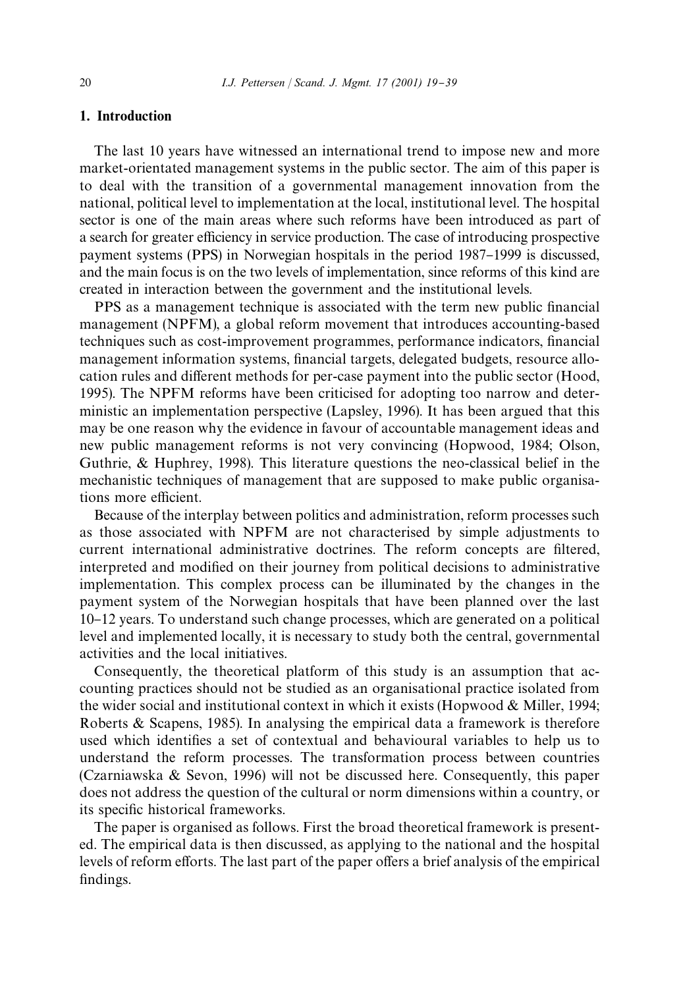### 1. Introduction

The last 10 years have witnessed an international trend to impose new and more market-orientated management systems in the public sector. The aim of this paper is to deal with the transition of a governmental management innovation from the national, political level to implementation at the local, institutional level. The hospital sector is one of the main areas where such reforms have been introduced as part of a search for greater efficiency in service production. The case of introducing prospective payment systems (PPS) in Norwegian hospitals in the period 1987–1999 is discussed, and the main focus is on the two levels of implementation, since reforms of this kind are created in interaction between the government and the institutional levels.

PPS as a management technique is associated with the term new public financial management (NPFM), a global reform movement that introduces accounting-based techniques such as cost-improvement programmes, performance indicators, "nancial management information systems, financial targets, delegated budgets, resource allocation rules and different methods for per-case payment into the public sector (Hood, 1995). The NPFM reforms have been criticised for adopting too narrow and deterministic an implementation perspective (Lapsley, 1996). It has been argued that this may be one reason why the evidence in favour of accountable management ideas and new public management reforms is not very convincing (Hopwood, 1984; Olson, Guthrie, & Huphrey, 1998). This literature questions the neo-classical belief in the mechanistic techniques of management that are supposed to make public organisations more efficient.

Because of the interplay between politics and administration, reform processes such as those associated with NPFM are not characterised by simple adjustments to current international administrative doctrines. The reform concepts are filtered, interpreted and modified on their journey from political decisions to administrative implementation. This complex process can be illuminated by the changes in the payment system of the Norwegian hospitals that have been planned over the last 10}12 years. To understand such change processes, which are generated on a political level and implemented locally, it is necessary to study both the central, governmental activities and the local initiatives.

Consequently, the theoretical platform of this study is an assumption that accounting practices should not be studied as an organisational practice isolated from the wider social and institutional context in which it exists (Hopwood  $\&$  Miller, 1994; Roberts & Scapens, 1985). In analysing the empirical data a framework is therefore used which identifies a set of contextual and behavioural variables to help us to understand the reform processes. The transformation process between countries (Czarniawska & Sevon, 1996) will not be discussed here. Consequently, this paper does not address the question of the cultural or norm dimensions within a country, or its specific historical frameworks.

The paper is organised as follows. First the broad theoretical framework is presented. The empirical data is then discussed, as applying to the national and the hospital levels of reform efforts. The last part of the paper offers a brief analysis of the empirical findings.